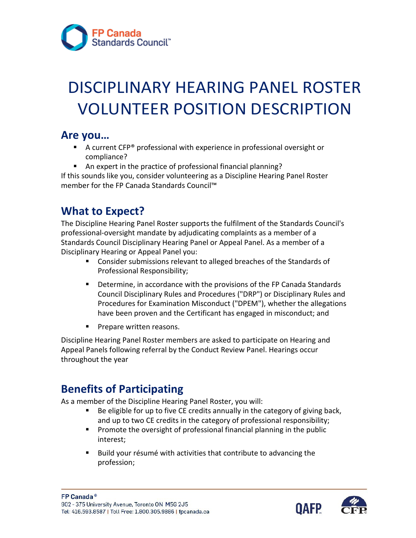

# DISCIPLINARY HEARING PANEL ROSTER VOLUNTEER POSITION DESCRIPTION

#### **Are you…**

- A current CFP<sup>®</sup> professional with experience in professional oversight or compliance?
- An expert in the practice of professional financial planning?

If this sounds like you, consider volunteering as a Discipline Hearing Panel Roster member for the FP Canada Standards Council™

## **What to Expect?**

The Discipline Hearing Panel Roster supports the fulfilment of the Standards Council's professional-oversight mandate by adjudicating complaints as a member of a Standards Council Disciplinary Hearing Panel or Appeal Panel. As a member of a Disciplinary Hearing or Appeal Panel you:

- **Consider submissions relevant to alleged breaches of the Standards of** Professional Responsibility;
- **Determine, in accordance with the provisions of the FP Canada Standards** Council Disciplinary Rules and Procedures ("DRP") or Disciplinary Rules and Procedures for Examination Misconduct ("DPEM"), whether the allegations have been proven and the Certificant has engaged in misconduct; and
- **Prepare written reasons.**

Discipline Hearing Panel Roster members are asked to participate on Hearing and Appeal Panels following referral by the Conduct Review Panel. Hearings occur throughout the year

#### **Benefits of Participating**

As a member of the Discipline Hearing Panel Roster, you will:

- Be eligible for up to five CE credits annually in the category of giving back, and up to two CE credits in the category of professional responsibility;
- **Promote the oversight of professional financial planning in the public** interest;
- Build your résumé with activities that contribute to advancing the profession;